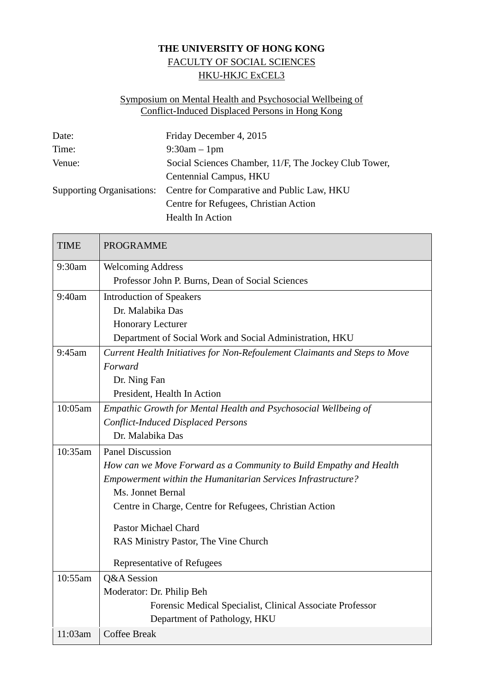## **THE UNIVERSITY OF HONG KONG** FACULTY OF SOCIAL SCIENCES HKU-HKJC ExCEL3

## Symposium on Mental Health and Psychosocial Wellbeing of Conflict-Induced Displaced Persons in Hong Kong

| Date:  | Friday December 4, 2015                                              |
|--------|----------------------------------------------------------------------|
| Time:  | $9:30am - 1pm$                                                       |
| Venue: | Social Sciences Chamber, 11/F, The Jockey Club Tower,                |
|        | Centennial Campus, HKU                                               |
|        | Supporting Organisations: Centre for Comparative and Public Law, HKU |
|        | Centre for Refugees, Christian Action                                |
|        | <b>Health In Action</b>                                              |

| <b>TIME</b> | <b>PROGRAMME</b>                                                           |
|-------------|----------------------------------------------------------------------------|
| 9:30am      | <b>Welcoming Address</b>                                                   |
|             | Professor John P. Burns, Dean of Social Sciences                           |
| 9:40am      | <b>Introduction of Speakers</b>                                            |
|             | Dr. Malabika Das                                                           |
|             | Honorary Lecturer                                                          |
|             | Department of Social Work and Social Administration, HKU                   |
| 9:45am      | Current Health Initiatives for Non-Refoulement Claimants and Steps to Move |
|             | Forward                                                                    |
|             | Dr. Ning Fan                                                               |
|             | President, Health In Action                                                |
| 10:05am     | Empathic Growth for Mental Health and Psychosocial Wellbeing of            |
|             | <b>Conflict-Induced Displaced Persons</b>                                  |
|             | Dr. Malabika Das                                                           |
| 10:35am     | <b>Panel Discussion</b>                                                    |
|             | How can we Move Forward as a Community to Build Empathy and Health         |
|             | Empowerment within the Humanitarian Services Infrastructure?               |
|             | Ms. Jonnet Bernal                                                          |
|             | Centre in Charge, Centre for Refugees, Christian Action                    |
|             | <b>Pastor Michael Chard</b>                                                |
|             | RAS Ministry Pastor, The Vine Church                                       |
|             | Representative of Refugees                                                 |
| 10:55am     | Q&A Session                                                                |
|             | Moderator: Dr. Philip Beh                                                  |
|             | Forensic Medical Specialist, Clinical Associate Professor                  |
|             | Department of Pathology, HKU                                               |
| 11:03am     | <b>Coffee Break</b>                                                        |